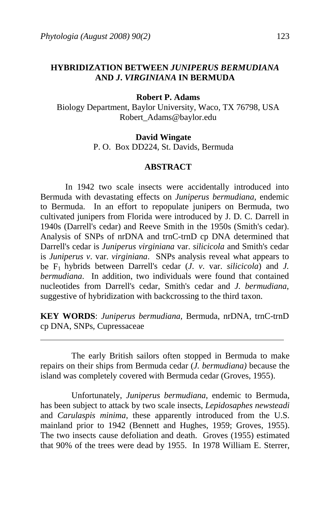# **HYBRIDIZATION BETWEEN** *JUNIPERUS BERMUDIANA* **AND** *J***.** *VIRGINIANA* **IN BERMUDA**

### **Robert P. Adams**

Biology Department, Baylor University, Waco, TX 76798, USA Robert\_Adams@baylor.edu

#### **David Wingate**

P. O. Box DD224, St. Davids, Bermuda

### **ABSTRACT**

 In 1942 two scale insects were accidentally introduced into Bermuda with devastating effects on *Juniperus bermudiana*, endemic to Bermuda. In an effort to repopulate junipers on Bermuda, two cultivated junipers from Florida were introduced by J. D. C. Darrell in 1940s (Darrell's cedar) and Reeve Smith in the 1950s (Smith's cedar). Analysis of SNPs of nrDNA and trnC-trnD cp DNA determined that Darrell's cedar is *Juniperus virginiana* var. *silicicola* and Smith's cedar is *Juniperus v*. var. *virginiana*. SNPs analysis reveal what appears to be F1 hybrids between Darrell's cedar (*J*. *v*. var. *silicicola*) and *J. bermudiana*. In addition, two individuals were found that contained nucleotides from Darrell's cedar, Smith's cedar and *J. bermudiana*, suggestive of hybridization with backcrossing to the third taxon.

**KEY WORDS**: *Juniperus bermudiana,* Bermuda, nrDNA, trnC-trnD cp DNA, SNPs, Cupressaceae

 The early British sailors often stopped in Bermuda to make repairs on their ships from Bermuda cedar (*J. bermudiana)* because the island was completely covered with Bermuda cedar (Groves, 1955).

 Unfortunately, *Juniperus bermudiana*, endemic to Bermuda, has been subject to attack by two scale insects, *Lepidosaphes newsteadi* and *Carulaspis minima*, these apparently introduced from the U.S. mainland prior to 1942 (Bennett and Hughes, 1959; Groves, 1955). The two insects cause defoliation and death. Groves (1955) estimated that 90% of the trees were dead by 1955. In 1978 William E. Sterrer,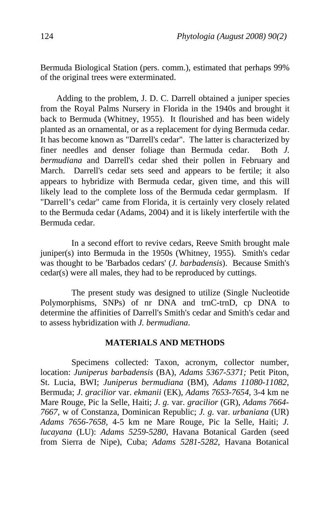Bermuda Biological Station (pers. comm.), estimated that perhaps 99% of the original trees were exterminated.

 Adding to the problem, J. D. C. Darrell obtained a juniper species from the Royal Palms Nursery in Florida in the 1940s and brought it back to Bermuda (Whitney, 1955). It flourished and has been widely planted as an ornamental, or as a replacement for dying Bermuda cedar. It has become known as "Darrell's cedar". The latter is characterized by finer needles and denser foliage than Bermuda cedar. Both *J. bermudiana* and Darrell's cedar shed their pollen in February and March. Darrell's cedar sets seed and appears to be fertile; it also appears to hybridize with Bermuda cedar, given time, and this will likely lead to the complete loss of the Bermuda cedar germplasm. If "Darrell's cedar" came from Florida, it is certainly very closely related to the Bermuda cedar (Adams, 2004) and it is likely interfertile with the Bermuda cedar.

 In a second effort to revive cedars, Reeve Smith brought male juniper(s) into Bermuda in the 1950s (Whitney, 1955). Smith's cedar was thought to be 'Barbados cedars' (*J. barbadensis*). Because Smith's cedar(s) were all males, they had to be reproduced by cuttings.

 The present study was designed to utilize (Single Nucleotide Polymorphisms, SNPs) of nr DNA and trnC-trnD, cp DNA to determine the affinities of Darrell's Smith's cedar and Smith's cedar and to assess hybridization with *J. bermudiana*.

# **MATERIALS AND METHODS**

 Specimens collected: Taxon, acronym, collector number, location: *Juniperus barbadensis* (BA), *Adams 5367-5371;* Petit Piton, St. Lucia, BWI; *Juniperus bermudiana* (BM), *Adams 11080-11082*, Bermuda; *J*. *gracilior* var. *ekmanii* (EK), *Adams 7653-7654*, 3-4 km ne Mare Rouge, Pic la Selle, Haiti; *J*. *g.* var. *gracilior* (GR), *Adams 7664- 7667,* w of Constanza, Dominican Republic; *J. g.* var. *urbaniana* (UR) *Adams 7656-7658,* 4-5 km ne Mare Rouge, Pic la Selle, Haiti; *J. lucayana* (LU): *Adams 5259-5280*, Havana Botanical Garden (seed from Sierra de Nipe), Cuba; *Adams 5281-5282*, Havana Botanical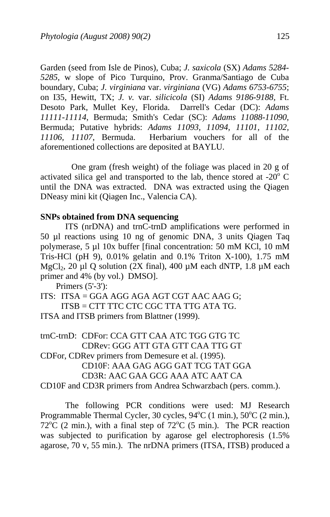Garden (seed from Isle de Pinos), Cuba; *J. saxicola* (SX) *Adams 5284- 5285,* w slope of Pico Turquino, Prov. Granma/Santiago de Cuba boundary, Cuba; *J. virginiana* var. *virginiana* (VG) *Adams 6753-6755*; on I35, Hewitt, TX; *J. v.* var. *silicicola* (SI) *Adams 9186-9188,* Ft. Desoto Park, Mullet Key, Florida. Darrell's Cedar (DC): *Adams 11111-11114*, Bermuda; Smith's Cedar (SC): *Adams 11088-11090*, Bermuda; Putative hybrids: *Adams 11093, 11094, 11101, 11102, 11106, 11107*, Bermuda. Herbarium vouchers for all of the aforementioned collections are deposited at BAYLU.

 One gram (fresh weight) of the foliage was placed in 20 g of activated silica gel and transported to the lab, thence stored at -20 $\degree$  C until the DNA was extracted. DNA was extracted using the Qiagen DNeasy mini kit (Qiagen Inc., Valencia CA).

## **SNPs obtained from DNA sequencing**

 ITS (nrDNA) and trnC-trnD amplifications were performed in 50 µl reactions using 10 ng of genomic DNA, 3 units Qiagen Taq polymerase, 5 µl 10x buffer [final concentration: 50 mM KCl, 10 mM Tris-HCl (pH 9), 0.01% gelatin and 0.1% Triton X-100), 1.75 mM MgCl<sub>2</sub>, 20 µl Q solution (2X final), 400 µM each dNTP, 1.8 µM each primer and 4% (by vol.) DMSO].

```
 Primers (5'-3'):
```
ITS: ITSA = GGA AGG AGA AGT CGT AAC AAG G; ITSB = CTT TTC CTC CGC TTA TTG ATA TG. ITSA and ITSB primers from Blattner (1999).

trnC-trnD: CDFor: CCA GTT CAA ATC TGG GTG TC CDRev: GGG ATT GTA GTT CAA TTG GT

CDFor, CDRev primers from Demesure et al. (1995).

 CD10F: AAA GAG AGG GAT TCG TAT GGA CD3R: AAC GAA GCG AAA ATC AAT CA

CD10F and CD3R primers from Andrea Schwarzbach (pers. comm.).

 The following PCR conditions were used: MJ Research Programmable Thermal Cycler, 30 cycles, 94°C (1 min.), 50°C (2 min.),  $72^{\circ}$ C (2 min.), with a final step of  $72^{\circ}$ C (5 min.). The PCR reaction was subjected to purification by agarose gel electrophoresis (1.5% agarose, 70 v, 55 min.). The nrDNA primers (ITSA, ITSB) produced a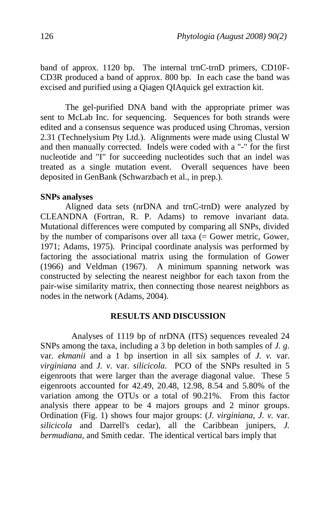band of approx. 1120 bp. The internal trnC-trnD primers, CD10F-CD3R produced a band of approx. 800 bp. In each case the band was excised and purified using a Qiagen QIAquick gel extraction kit.

 The gel-purified DNA band with the appropriate primer was sent to McLab Inc. for sequencing. Sequences for both strands were edited and a consensus sequence was produced using Chromas, version 2.31 (Technelysium Pty Ltd.). Alignments were made using Clustal W and then manually corrected. Indels were coded with a "-" for the first nucleotide and "I" for succeeding nucleotides such that an indel was treated as a single mutation event. Overall sequences have been deposited in GenBank (Schwarzbach et al., in prep.).

### **SNPs analyses**

 Aligned data sets (nrDNA and trnC-trnD) were analyzed by CLEANDNA (Fortran, R. P. Adams) to remove invariant data. Mutational differences were computed by comparing all SNPs, divided by the number of comparisons over all taxa  $(=$  Gower metric, Gower, 1971; Adams, 1975). Principal coordinate analysis was performed by factoring the associational matrix using the formulation of Gower (1966) and Veldman (1967). A minimum spanning network was constructed by selecting the nearest neighbor for each taxon from the pair-wise similarity matrix, then connecting those nearest neighbors as nodes in the network (Adams, 2004).

## **RESULTS AND DISCUSSION**

 Analyses of 1119 bp of nrDNA (ITS) sequences revealed 24 SNPs among the taxa, including a 3 bp deletion in both samples of *J. g*. var. *ekmanii* and a 1 bp insertion in all six samples of *J. v.* var. *virginiana* and *J. v*. var. *silicicola*. PCO of the SNPs resulted in 5 eigenroots that were larger than the average diagonal value. These 5 eigenroots accounted for 42.49, 20.48, 12.98, 8.54 and 5.80% of the variation among the OTUs or a total of 90.21%. From this factor analysis there appear to be 4 majors groups and 2 minor groups. Ordination (Fig. 1) shows four major groups: (*J. virginiana, J. v.* var*. silicicola* and Darrell's cedar), all the Caribbean junipers, *J. bermudiana*, and Smith cedar. The identical vertical bars imply that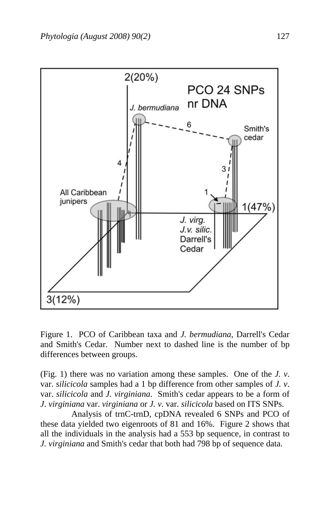

Figure 1. PCO of Caribbean taxa and *J. bermudiana*, Darrell's Cedar and Smith's Cedar. Number next to dashed line is the number of bp differences between groups.

(Fig. 1) there was no variation among these samples. One of the *J. v*. var. *silicicola* samples had a 1 bp difference from other samples of *J. v*. var. *silicicola* and *J. virginiana*. Smith's cedar appears to be a form of *J*. *virginiana* var. *virginiana* or *J. v*. var. *silicicola* based on ITS SNPs.

 Analysis of trnC-trnD, cpDNA revealed 6 SNPs and PCO of these data yielded two eigenroots of 81 and 16%. Figure 2 shows that all the individuals in the analysis had a 553 bp sequence, in contrast to *J. virginiana* and Smith's cedar that both had 798 bp of sequence data.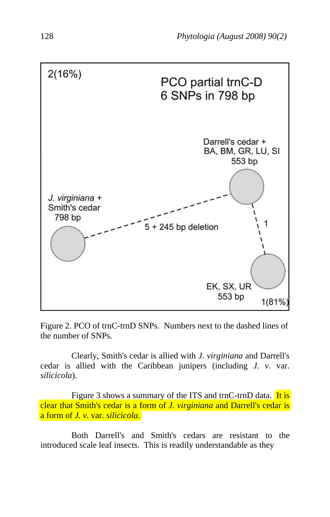

Figure 2. PCO of trnC-trnD SNPs. Numbers next to the dashed lines of the number of SNPs.

 Clearly, Smith's cedar is allied with *J. virginiana* and Darrell's cedar is allied with the Caribbean junipers (including *J. v.* var. *silicicola*).

Figure 3 shows a summary of the ITS and trnC-trnD data. It is clear that Smith's cedar is a form of *J. virginiana* and Darrell's cedar is a form of *J. v*. var. *silicicola*.

 Both Darrell's and Smith's cedars are resistant to the introduced scale leaf insects. This is readily understandable as they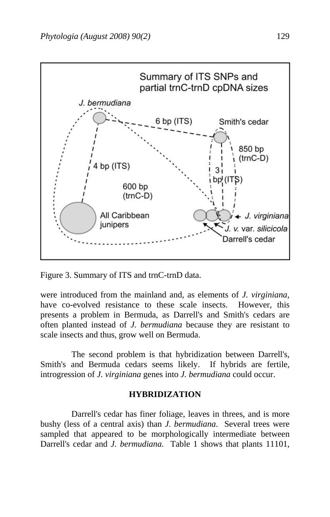

Figure 3. Summary of ITS and trnC-trnD data.

were introduced from the mainland and, as elements of *J. virginiana*, have co-evolved resistance to these scale insects. However, this presents a problem in Bermuda, as Darrell's and Smith's cedars are often planted instead of *J. bermudiana* because they are resistant to scale insects and thus, grow well on Bermuda.

 The second problem is that hybridization between Darrell's, Smith's and Bermuda cedars seems likely. If hybrids are fertile, introgression of *J. virginiana* genes into *J. bermudiana* could occur.

### **HYBRIDIZATION**

 Darrell's cedar has finer foliage, leaves in threes, and is more bushy (less of a central axis) than *J. bermudiana*. Several trees were sampled that appeared to be morphologically intermediate between Darrell's cedar and *J. bermudiana*. Table 1 shows that plants 11101,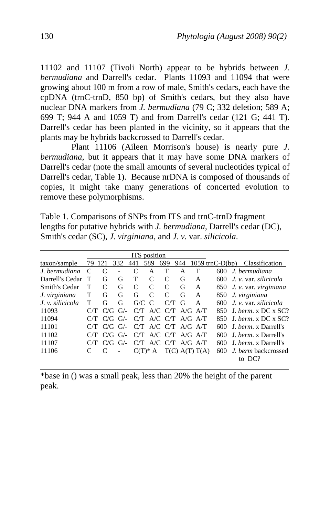11102 and 11107 (Tivoli North) appear to be hybrids between *J. bermudiana* and Darrell's cedar. Plants 11093 and 11094 that were growing about 100 m from a row of male, Smith's cedars, each have the cpDNA (trnC-trnD, 850 bp) of Smith's cedars, but they also have nuclear DNA markers from *J. bermudiana* (79 C; 332 deletion; 589 A; 699 T; 944 A and 1059 T) and from Darrell's cedar (121 G; 441 T). Darrell's cedar has been planted in the vicinity, so it appears that the plants may be hybrids backcrossed to Darrell's cedar.

 Plant 11106 (Aileen Morrison's house) is nearly pure *J. bermudiana*, but it appears that it may have some DNA markers of Darrell's cedar (note the small amounts of several nucleotides typical of Darrell's cedar, Table 1). Because nrDNA is composed of thousands of copies, it might take many generations of concerted evolution to remove these polymorphisms.

Table 1. Comparisons of SNPs from ITS and trnC-trnD fragment lengths for putative hybrids with *J. bermudiana*, Darrell's cedar (DC), Smith's cedar (SC), *J*. *virginiana*, and *J. v.* var. *silicicola*.

| ITS position     |           |               |             |              |               |               |     |                         |                   |  |                         |
|------------------|-----------|---------------|-------------|--------------|---------------|---------------|-----|-------------------------|-------------------|--|-------------------------|
| taxon/sample     | 79        | 121           | 332         | 441          | 589           | 699           | 944 |                         | $1059$ trnC-D(bp) |  | Classification          |
| J. bermudiana    | $\subset$ | $\mathcal{C}$ |             | $\mathsf{C}$ | А             | т             | А   | т                       | 600               |  | J. bermudiana           |
| Darrell's Cedar  | Т         | G             | G           | т            | C             | C             | G   | A                       | 600               |  | J. v. var. silicicola   |
| Smith's Cedar    | т         | C             | G           | C            | C             | C             | G   | А                       | 850               |  | J. v. var. virginiana   |
| J. virginiana    | T         | G             | G           | G            | $\mathcal{C}$ | $\mathcal{C}$ | G   | A                       | 850               |  | J. virginiana           |
| J. v. silicicola | т         | G             | G           | G/C          | $\mathcal{C}$ | C/T           | G   | A                       | 600               |  | J. v. var. silicicola   |
| 11093            |           | C/G           | $G/-$       | C/T          |               |               |     | $A/C$ $C/T$ $A/G$ $A/T$ | 850               |  | J. berm. $x$ DC $x$ SC? |
| 11094            |           |               | $C/G$ $G$ . |              |               |               |     | $CT$ A/C $CT$ A/G A/T   | 850               |  | J. berm. x DC x SC?     |
| 11101            |           | C/G           | $G/-$       | C/T          |               | $A/C$ $C/T$   |     | $A/G$ $A/T$             | 600               |  | J. berm. x Darrell's    |
| 11102            |           | C/G           | $G/-$       | C/T          |               | $A/C$ $C/T$   |     | $A/G$ $A/T$             | 600               |  | J. berm. x Darrell's    |
| 11107            |           | C/G           | $G/$ -      |              |               |               |     | $C/T$ A/C $C/T$ A/G A/T | 600               |  | J. berm. x Darrell's    |
| 11106            |           |               |             |              | $C(T)^* A$    |               |     | T(C) A(T) T(A)          | 600               |  | J. berm backcrossed     |
|                  |           |               |             |              |               |               |     |                         |                   |  | to DC?                  |

\*base in () was a small peak, less than 20% the height of the parent peak.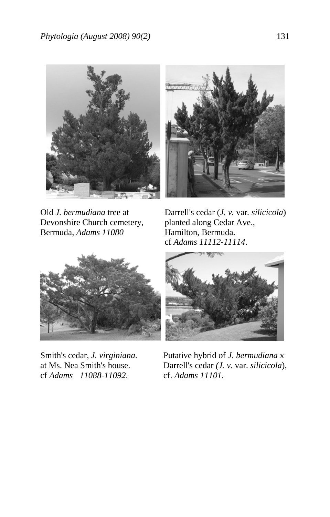

Devonshire Church cemetery, planted along Cedar Ave.,<br>Bermuda, Adams 11080 Hamilton, Bermuda. Bermuda, *Adams 11080* 



Old *J. bermudiana* tree at Darrell's cedar (*J. v.* var*. silicicola*) cf *Adams 11112-11114*.



cf *Adams 11088-11092*. cf. *Adams 11101*.



Smith's cedar, *J. virginiana*. Putative hybrid of *J. bermudiana* x at Ms. Nea Smith's house. Darrell's cedar *(J. v*. var. *silicicola*),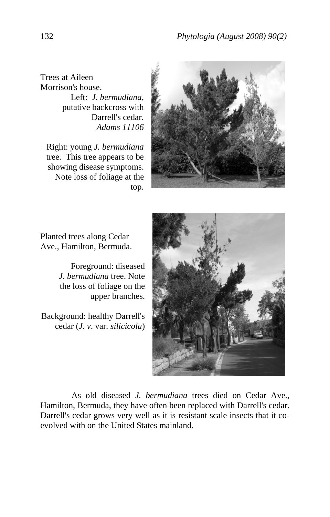Trees at Aileen Morrison's house.

Left: *J. bermudiana*, putative backcross with Darrell's cedar. *Adams 11106*

Right: young *J. bermudiana* tree. This tree appears to be showing disease symptoms. Note loss of foliage at the top.



Planted trees along Cedar Ave., Hamilton, Bermuda.

> Foreground: diseased *J. bermudiana* tree. Note the loss of foliage on the upper branches.

Background: healthy Darrell's cedar (*J. v*. var. *silicicola*)



 As old diseased *J. bermudiana* trees died on Cedar Ave., Hamilton, Bermuda, they have often been replaced with Darrell's cedar. Darrell's cedar grows very well as it is resistant scale insects that it coevolved with on the United States mainland.